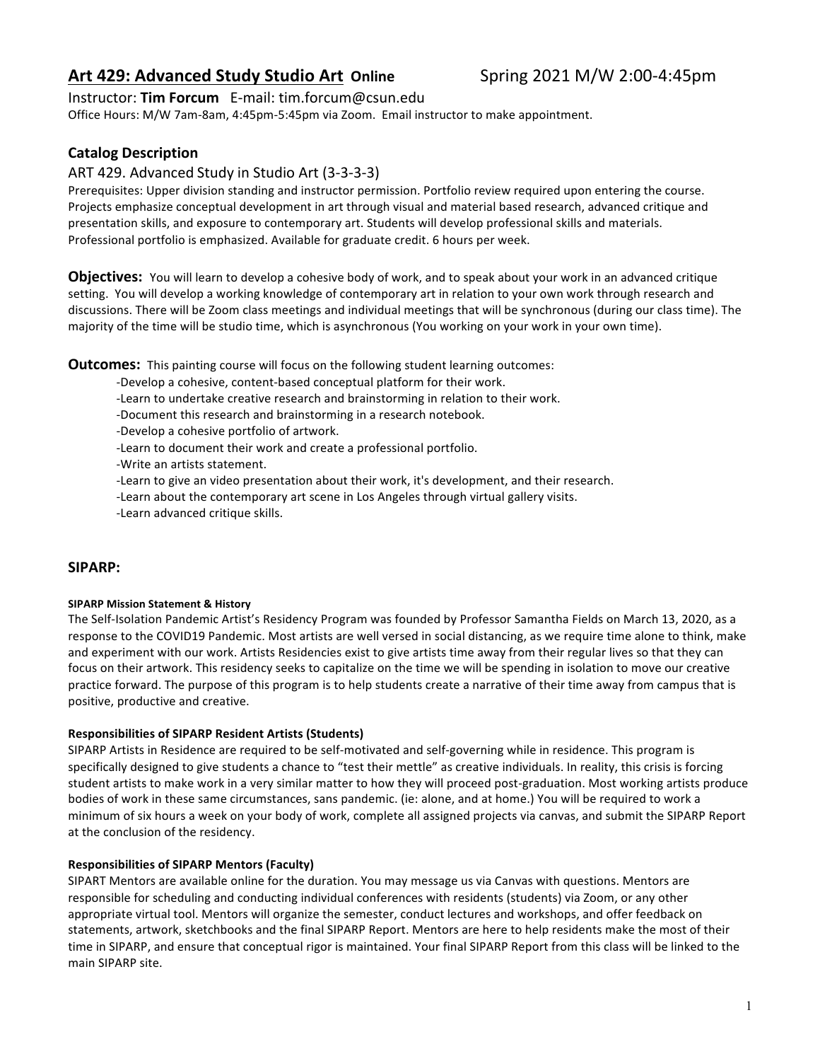# **Art 429: Advanced Study Studio Art Online <b>Spring 2021 M/W 2:00-4:45pm**

## Instructor: **Tim Forcum** E-mail: tim.forcum@csun.edu

Office Hours: M/W 7am-8am, 4:45pm-5:45pm via Zoom. Email instructor to make appointment.

## **Catalog Description**

## ART 429. Advanced Study in Studio Art (3-3-3-3)

Prerequisites: Upper division standing and instructor permission. Portfolio review required upon entering the course. Projects emphasize conceptual development in art through visual and material based research, advanced critique and presentation skills, and exposure to contemporary art. Students will develop professional skills and materials. Professional portfolio is emphasized. Available for graduate credit. 6 hours per week.

**Objectives:** You will learn to develop a cohesive body of work, and to speak about your work in an advanced critique setting. You will develop a working knowledge of contemporary art in relation to your own work through research and discussions. There will be Zoom class meetings and individual meetings that will be synchronous (during our class time). The majority of the time will be studio time, which is asynchronous (You working on your work in your own time).

**Outcomes:** This painting course will focus on the following student learning outcomes:

- -Develop a cohesive, content-based conceptual platform for their work.
- -Learn to undertake creative research and brainstorming in relation to their work.
- -Document this research and brainstorming in a research notebook.
- -Develop a cohesive portfolio of artwork.
- -Learn to document their work and create a professional portfolio.
- -Write an artists statement.
- -Learn to give an video presentation about their work, it's development, and their research.
- -Learn about the contemporary art scene in Los Angeles through virtual gallery visits.
- -Learn advanced critique skills.

## **SIPARP:**

#### **SIPARP Mission Statement & History**

The Self-Isolation Pandemic Artist's Residency Program was founded by Professor Samantha Fields on March 13, 2020, as a response to the COVID19 Pandemic. Most artists are well versed in social distancing, as we require time alone to think, make and experiment with our work. Artists Residencies exist to give artists time away from their regular lives so that they can focus on their artwork. This residency seeks to capitalize on the time we will be spending in isolation to move our creative practice forward. The purpose of this program is to help students create a narrative of their time away from campus that is positive, productive and creative.

### **Responsibilities of SIPARP Resident Artists (Students)**

SIPARP Artists in Residence are required to be self-motivated and self-governing while in residence. This program is specifically designed to give students a chance to "test their mettle" as creative individuals. In reality, this crisis is forcing student artists to make work in a very similar matter to how they will proceed post-graduation. Most working artists produce bodies of work in these same circumstances, sans pandemic. (ie: alone, and at home.) You will be required to work a minimum of six hours a week on your body of work, complete all assigned projects via canvas, and submit the SIPARP Report at the conclusion of the residency.

### **Responsibilities of SIPARP Mentors (Faculty)**

SIPART Mentors are available online for the duration. You may message us via Canvas with questions. Mentors are responsible for scheduling and conducting individual conferences with residents (students) via Zoom, or any other appropriate virtual tool. Mentors will organize the semester, conduct lectures and workshops, and offer feedback on statements, artwork, sketchbooks and the final SIPARP Report. Mentors are here to help residents make the most of their time in SIPARP, and ensure that conceptual rigor is maintained. Your final SIPARP Report from this class will be linked to the main SIPARP site.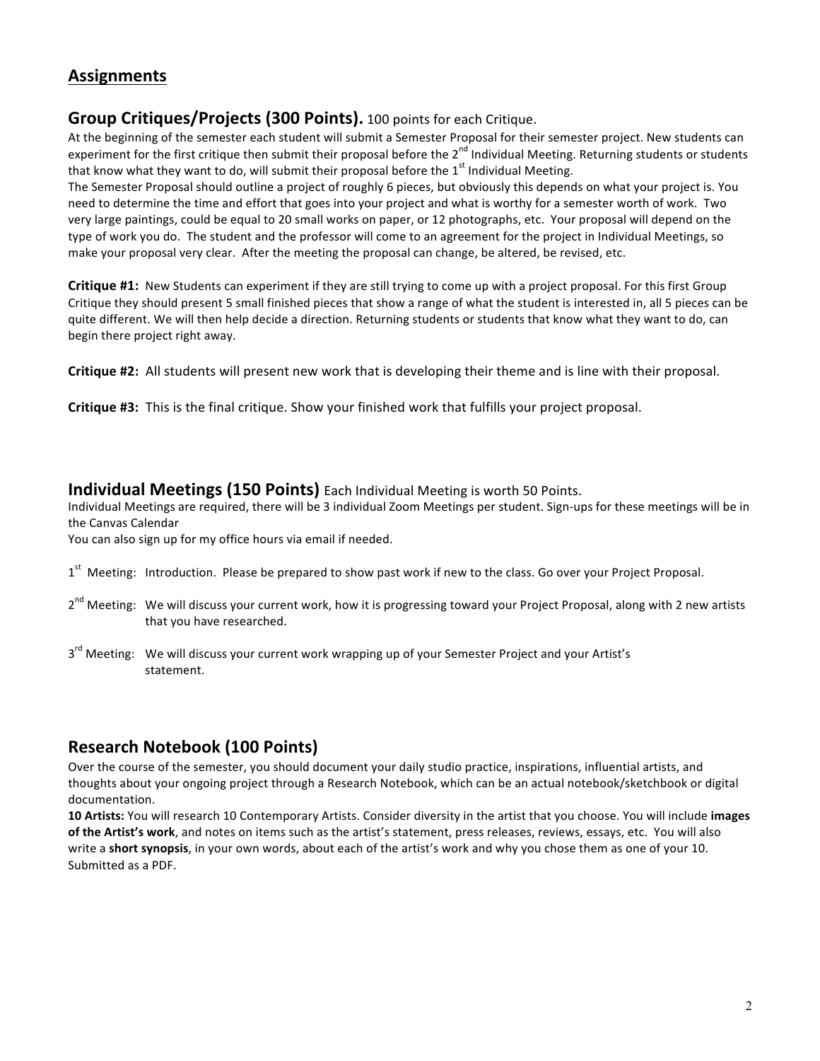# **Assignments**

## **Group Critiques/Projects (300 Points).** 100 points for each Critique.

At the beginning of the semester each student will submit a Semester Proposal for their semester project. New students can experiment for the first critique then submit their proposal before the 2<sup>nd</sup> Individual Meeting. Returning students or students that know what they want to do, will submit their proposal before the  $1<sup>st</sup>$  Individual Meeting.

The Semester Proposal should outline a project of roughly 6 pieces, but obviously this depends on what your project is. You need to determine the time and effort that goes into your project and what is worthy for a semester worth of work. Two very large paintings, could be equal to 20 small works on paper, or 12 photographs, etc. Your proposal will depend on the type of work you do. The student and the professor will come to an agreement for the project in Individual Meetings, so make your proposal very clear. After the meeting the proposal can change, be altered, be revised, etc.

**Critique #1:** New Students can experiment if they are still trying to come up with a project proposal. For this first Group Critique they should present 5 small finished pieces that show a range of what the student is interested in, all 5 pieces can be quite different. We will then help decide a direction. Returning students or students that know what they want to do, can begin there project right away.

**Critique #2:** All students will present new work that is developing their theme and is line with their proposal.

**Critique #3:** This is the final critique. Show your finished work that fulfills your project proposal.

## **Individual Meetings (150 Points)** Each Individual Meeting is worth 50 Points.

Individual Meetings are required, there will be 3 individual Zoom Meetings per student. Sign-ups for these meetings will be in the Canvas Calendar

You can also sign up for my office hours via email if needed.

- $1<sup>st</sup>$  Meeting: Introduction. Please be prepared to show past work if new to the class. Go over your Project Proposal.
- 2<sup>nd</sup> Meeting: We will discuss your current work, how it is progressing toward your Project Proposal, along with 2 new artists that you have researched.
- $3^{rd}$  Meeting: We will discuss your current work wrapping up of your Semester Project and your Artist's statement.

# **Research Notebook (100 Points)**

Over the course of the semester, you should document your daily studio practice, inspirations, influential artists, and thoughts about your ongoing project through a Research Notebook, which can be an actual notebook/sketchbook or digital documentation. 

10 Artists: You will research 10 Contemporary Artists. Consider diversity in the artist that you choose. You will include images of the Artist's work, and notes on items such as the artist's statement, press releases, reviews, essays, etc. You will also write a **short synopsis**, in your own words, about each of the artist's work and why you chose them as one of your 10. Submitted as a PDF.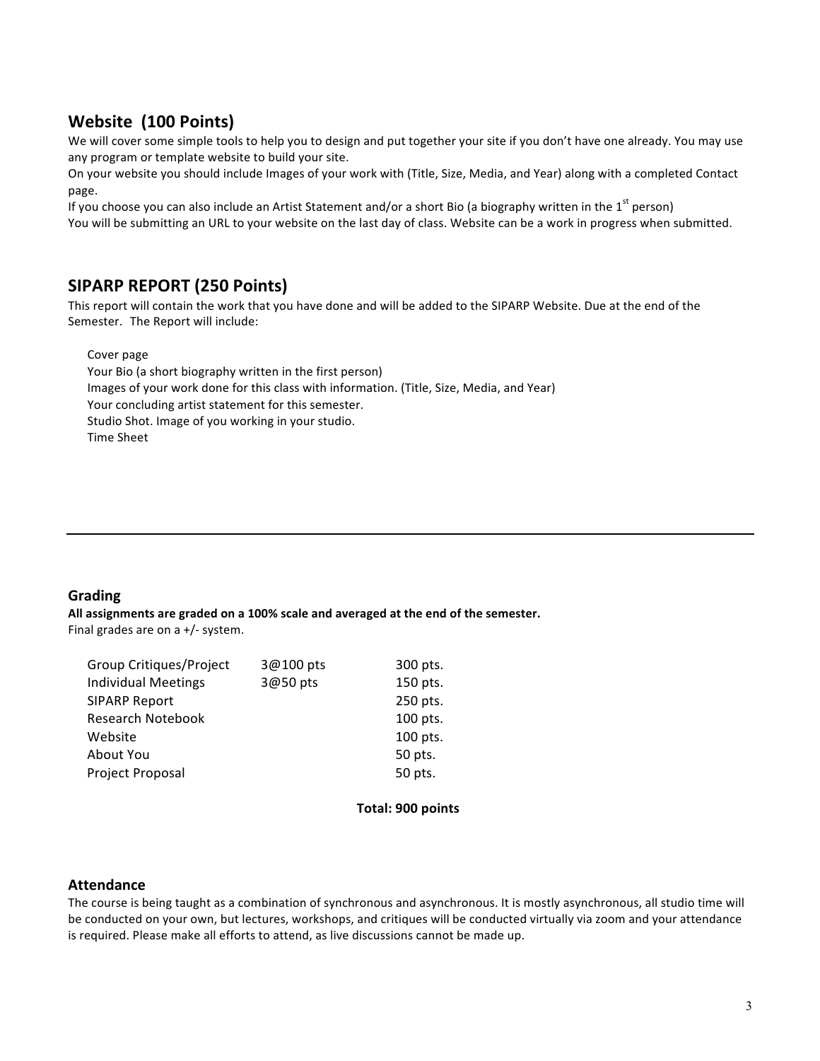# **Website (100 Points)**

We will cover some simple tools to help you to design and put together your site if you don't have one already. You may use any program or template website to build your site.

On your website you should include Images of your work with (Title, Size, Media, and Year) along with a completed Contact page.

If you choose you can also include an Artist Statement and/or a short Bio (a biography written in the 1<sup>st</sup> person) You will be submitting an URL to your website on the last day of class. Website can be a work in progress when submitted.

# **SIPARP REPORT (250 Points)**

This report will contain the work that you have done and will be added to the SIPARP Website. Due at the end of the Semester. The Report will include:

Cover page

Your Bio (a short biography written in the first person) Images of your work done for this class with information. (Title, Size, Media, and Year) Your concluding artist statement for this semester. Studio Shot. Image of you working in your studio. Time Sheet

## **Grading**

All assignments are graded on a 100% scale and averaged at the end of the semester. Final grades are on a  $+/-$  system.

| Group Critiques/Project    | 3@100 pts | 300 pts. |
|----------------------------|-----------|----------|
| <b>Individual Meetings</b> | 3@50 pts  | 150 pts. |
| <b>SIPARP Report</b>       |           | 250 pts. |
| Research Notebook          |           | 100 pts. |
| Website                    |           | 100 pts. |
| About You                  |           | 50 pts.  |
| Project Proposal           |           | 50 pts.  |
|                            |           |          |

### **Total: 900 points**

### **Attendance**

The course is being taught as a combination of synchronous and asynchronous. It is mostly asynchronous, all studio time will be conducted on your own, but lectures, workshops, and critiques will be conducted virtually via zoom and your attendance is required. Please make all efforts to attend, as live discussions cannot be made up.